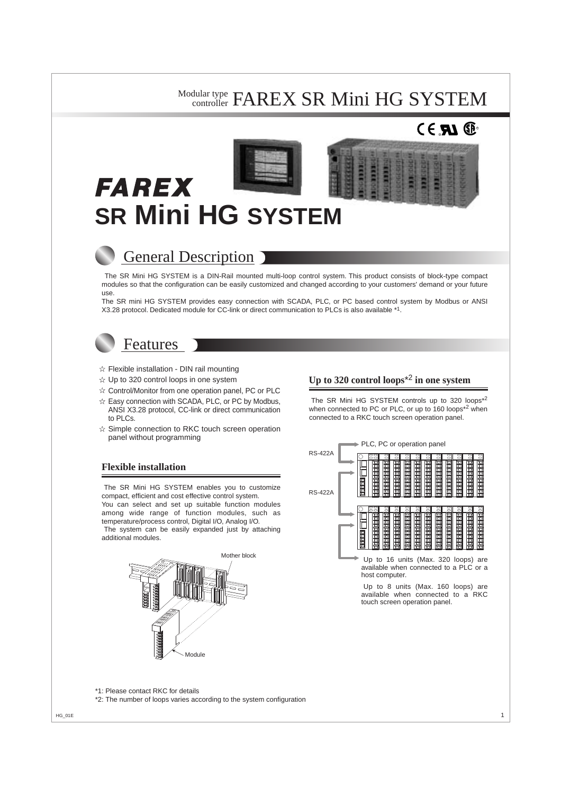### Modular type FAREX SR Mini HG SYSTEM controller

# R





# General Description

The SR Mini HG SYSTEM is a DIN-Rail mounted multi-loop control system. This product consists of block-type compact modules so that the configuration can be easily customized and changed according to your customers' demand or your future use.

The SR mini HG SYSTEM provides easy connection with SCADA, PLC, or PC based control system by Modbus or ANSI X3.28 protocol. Dedicated module for CC-link or direct communication to PLCs is also available \*1.

# Features

- $\hat{x}$  Flexible installation DIN rail mounting
- $\hat{x}$  Up to 320 control loops in one system
- $\hat{\mathcal{R}}$  Control/Monitor from one operation panel, PC or PLC
- $\hat{x}$  Easy connection with SCADA, PLC, or PC by Modbus, ANSI X3.28 protocol, CC-link or direct communication to PLCs.
- $\hat{x}$  Simple connection to RKC touch screen operation panel without programming

# **Flexible installation**

The SR Mini HG SYSTEM enables you to customize compact, efficient and cost effective control system. You can select and set up suitable function modules among wide range of function modules, such as temperature/process control, Digital I/O, Analog I/O.

The system can be easily expanded just by attaching additional modules.



# **Up to 320 control loops**\*2 **in one system**

The SR Mini HG SYSTEM controls up to 320 loops\*<sup>2</sup> when connected to PC or PLC, or up to 160 loops<sup>\*2</sup> when connected to a RKC touch screen operation panel.



Up to 8 units (Max. 160 loops) are available when connected to a RKC touch screen operation panel.

\*1: Please contact RKC for details

\*2: The number of loops varies according to the system configuration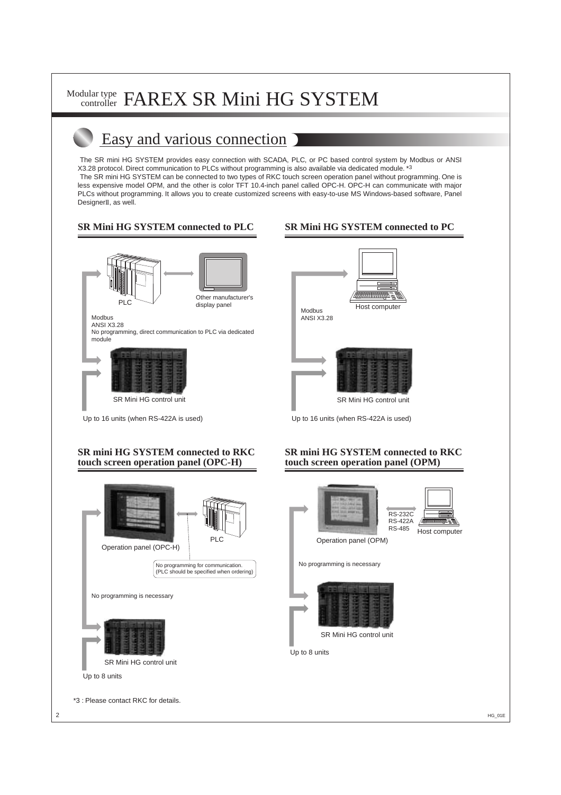# Easy and various connection

The SR mini HG SYSTEM provides easy connection with SCADA, PLC, or PC based control system by Modbus or ANSI X3.28 protocol. Direct communication to PLCs without programming is also available via dedicated module. \*3

The SR mini HG SYSTEM can be connected to two types of RKC touch screen operation panel without programming. One is less expensive model OPM, and the other is color TFT 10.4-inch panel called OPC-H. OPC-H can communicate with major PLCs without programming. It allows you to create customized screens with easy-to-use MS Windows-based software, Panel DesignerII, as well.

# **SR Mini HG SYSTEM connected to PLC**



# **SR Mini HG SYSTEM connected to PC**



Up to 16 units (when RS-422A is used)

# **SR mini HG SYSTEM connected to RKC touch screen operation panel (OPC-H)**



# **SR mini HG SYSTEM connected to RKC touch screen operation panel (OPM)**





Operation panel (OPM)

No programming is necessary



SR Mini HG control unit

Up to 8 units

\*3 : Please contact RKC for details.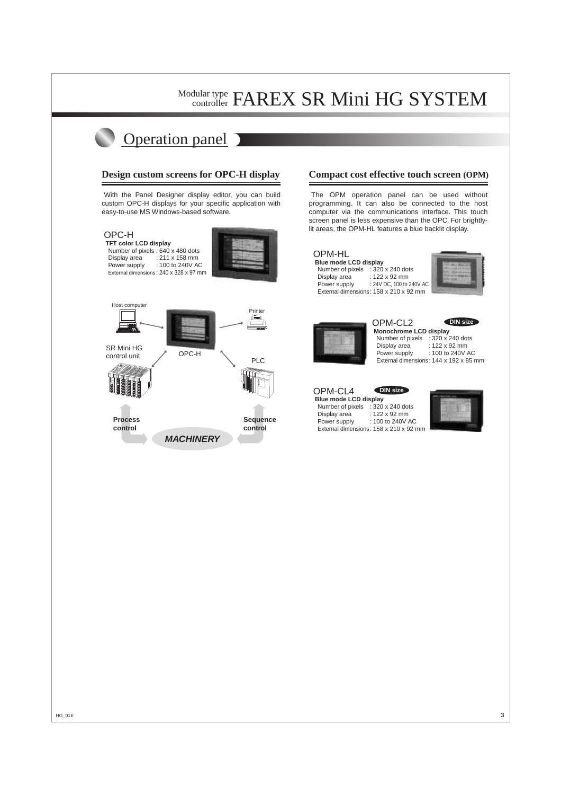# Operation panel

### **Design custom screens for OPC-H display**

With the Panel Designer display editor, you can build custom OPC-H displays for your specific application with easy-to-use MS Windows-based software.



### **Compact cost effective touch screen (OPM)**

The OPM operation panel can be used without programming. It can also be connected to the host computer via the communications interface. This touch screen panel is less expensive than the OPC. For brightlylit areas, the OPM-HL features a blue backlit display.

# OPM-HL

**Blue mode LCD display** Number of pixels : 320 x 240 dots Display area : 122 x 92 mm Power supply : 24V DC, 100 to 240V AC External dimensions: 158 x 210 x 92 mm





OPM-CL2  **Monochrome LCD display** Number of pixels  $\therefore$  320 x 240 dots<br>Display area  $\therefore$  122 x 92 mm  $: 122 \times 92$  mm Power supply : 100 to 240V AC External dimensions: 144 x 192 x 85 mm **DIN size**

OPM-CL4

**DIN size**

**Blue mode LCD display** Number of pixels : 320 x 240 dots Display area : 122 x 92 mm<br>Power supply : 100 to 240V / : 100 to 240V AC External dimensions: 158 x 210 x 92 mm

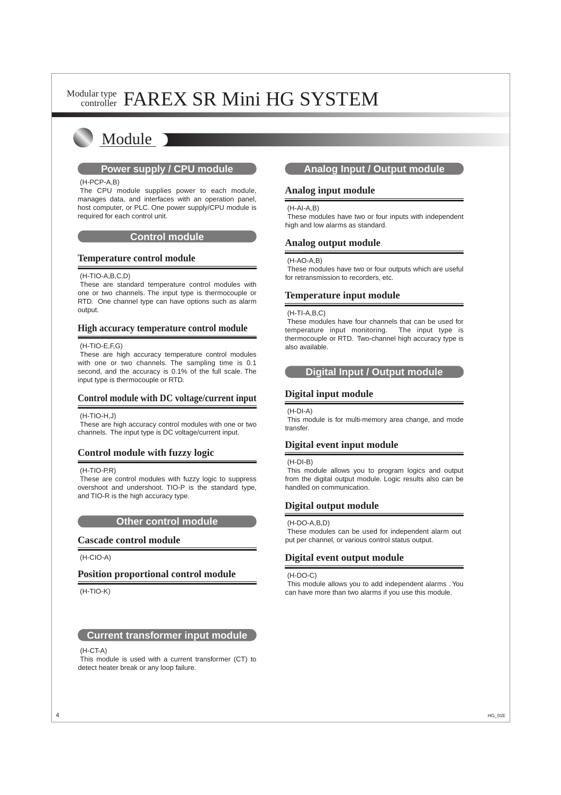# Module

#### (H-PCP-A,B)

The CPU module supplies power to each module, manages data, and interfaces with an operation panel, host computer, or PLC. One power supply/CPU module is required for each control unit.

#### **Control module**

#### **Temperature control module**

#### (H-TIO-A,B,C,D)

These are standard temperature control modules with one or two channels. The input type is thermocouple or RTD. One channel type can have options such as alarm output.

#### **High accuracy temperature control module**

#### (H-TIO-E,F,G)

These are high accuracy temperature control modules with one or two channels. The sampling time is 0.1 second, and the accuracy is 0.1% of the full scale. The input type is thermocouple or RTD.

# **Control module with DC voltage/current input**

#### (H-TIO-H,J)

These are high accuracy control modules with one or two channels. The input type is DC voltage/current input.

# **Control module with fuzzy logic**

#### (H-TIO-P,R)

These are control modules with fuzzy logic to suppress overshoot and undershoot. TIO-P is the standard type, and TIO-R is the high accuracy type.

#### **Other control module**

#### **Cascade control module**

(H-CIO-A)

#### **Position proportional control module**

#### (H-TIO-K)

#### **Current transformer input module**

#### (H-CT-A)

This module is used with a current transformer (CT) to detect heater break or any loop failure.

# **Power supply / CPU module COVE Analog Input / Output module**

#### **Analog input module**

#### (H-AI-A,B)

These modules have two or four inputs with independent high and low alarms as standard.

#### **Analog output module**

#### (H-AO-A,B)

These modules have two or four outputs which are useful for retransmission to recorders, etc.

### **Temperature input module**

#### (H-TI-A,B,C)

These modules have four channels that can be used for temperature input monitoring. The input type is thermocouple or RTD. Two-channel high accuracy type is also available.

# **Digital Input / Output module**

# **Digital input module**

#### (H-DI-A)

This module is for multi-memory area change, and mode transfer.

# **Digital event input module**

#### (H-DI-B)

This module allows you to program logics and output from the digital output module. Logic results also can be handled on communication.

# **Digital output module**

#### (H-DO-A,B,D)

These modules can be used for independent alarm out put per channel, or various control status output.

# **Digital event output module**

#### (H-DO-C)

This module allows you to add independent alarms . You can have more than two alarms if you use this module.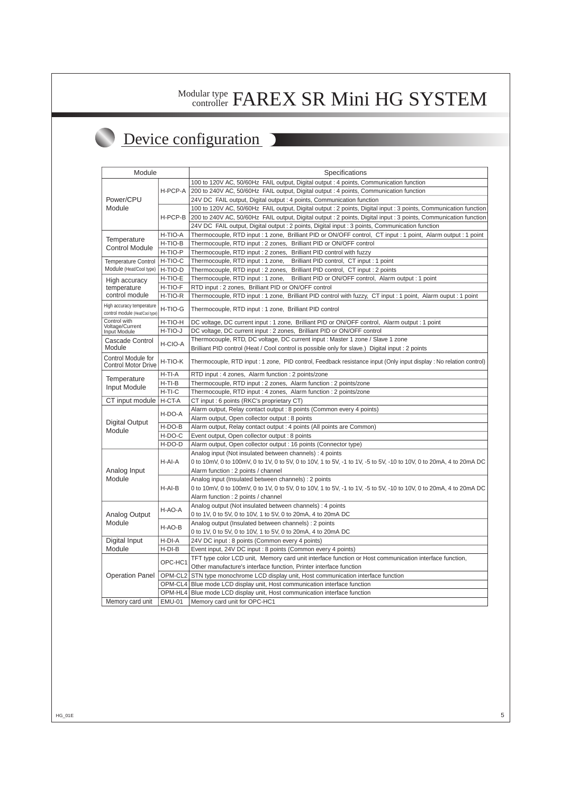# Device configuration

| Module                                                |               | Specifications                                                                                                      |
|-------------------------------------------------------|---------------|---------------------------------------------------------------------------------------------------------------------|
| Power/CPU<br>Module                                   | H-PCP-A       | 100 to 120V AC, 50/60Hz FAIL output, Digital output : 4 points, Communication function                              |
|                                                       |               | 200 to 240V AC, 50/60Hz FAIL output, Digital output : 4 points, Communication function                              |
|                                                       |               | 24V DC FAIL output, Digital output : 4 points, Communication function                                               |
|                                                       | H-PCP-B       | 100 to 120V AC, 50/60Hz FAIL output, Digital output : 2 points, Digital input : 3 points, Communication function    |
|                                                       |               | 200 to 240V AC, 50/60Hz FAIL output, Digital output : 2 points, Digital input : 3 points, Communication function    |
|                                                       |               | 24V DC FAIL output, Digital output : 2 points, Digital input : 3 points, Communication function                     |
| Temperature<br><b>Control Module</b>                  | H-TIO-A       | Thermocouple, RTD input : 1 zone, Brilliant PID or ON/OFF control, CT input : 1 point, Alarm output : 1 point       |
|                                                       | H-TIO-B       | Thermocouple, RTD input : 2 zones, Brilliant PID or ON/OFF control                                                  |
|                                                       | H-TIO-P       | Thermocouple, RTD input : 2 zones, Brilliant PID control with fuzzy                                                 |
| <b>Temperature Control</b><br>Module (Heat/Cool type) | H-TIO-C       | Thermocouple, RTD input: 1 zone,<br>Brilliant PID control, CT input: 1 point                                        |
|                                                       | H-TIO-D       | Brilliant PID control, CT input : 2 points<br>Thermocouple, RTD input : 2 zones,                                    |
| High accuracy<br>temperature<br>control module        | H-TIO-E       | Brilliant PID or ON/OFF control, Alarm output : 1 point<br>Thermocouple, RTD input : 1 zone,                        |
|                                                       | H-TIO-F       | RTD input : 2 zones, Brilliant PID or ON/OFF control                                                                |
|                                                       | H-TIO-R       | Thermocouple, RTD input : 1 zone, Brilliant PID control with fuzzy, CT input : 1 point, Alarm ouput : 1 point       |
| High accuracy temperature                             | H-TIO-G       | Thermocouple, RTD input: 1 zone, Brilliant PID control                                                              |
| control module (Heat/Cool type)<br>Control with       |               |                                                                                                                     |
| Voltage/Current<br>Input Module                       | H-TIO-H       | DC voltage, DC current input : 1 zone, Brilliant PID or ON/OFF control, Alarm output : 1 point                      |
|                                                       | H-TIO-J       | DC voltage, DC current input : 2 zones, Brilliant PID or ON/OFF control                                             |
| Cascade Control<br>Module                             | H-CIO-A       | Thermocouple, RTD, DC voltage, DC current input : Master 1 zone / Slave 1 zone                                      |
|                                                       |               | Brilliant PID control (Heat / Cool control is possible only for slave.) Digital input : 2 points                    |
| Control Module for<br><b>Control Motor Drive</b>      | H-TIO-K       | Thermocouple, RTD input : 1 zone, PID control, Feedback resistance input (Only input display : No relation control) |
| Temperature<br>Input Module                           | $H-TI-A$      | RTD input: 4 zones, Alarm function: 2 points/zone                                                                   |
|                                                       | $H-TI-B$      | Thermocouple, RTD input: 2 zones, Alarm function: 2 points/zone                                                     |
|                                                       | $H-TI-C$      | Thermocouple, RTD input: 4 zones, Alarm function: 2 points/zone                                                     |
| CT input module                                       | H-CT-A        | CT input : 6 points (RKC's proprietary CT)                                                                          |
| <b>Digital Output</b><br>Module                       | H-DO-A        | Alarm output, Relay contact output : 8 points (Common every 4 points)                                               |
|                                                       |               | Alarm output, Open collector output : 8 points                                                                      |
|                                                       | H-DO-B        | Alarm output, Relay contact output : 4 points (All points are Common)                                               |
|                                                       | H-DO-C        | Event output, Open collector output : 8 points                                                                      |
|                                                       | H-DO-D        | Alarm output, Open collector output : 16 points (Connector type)                                                    |
| Analog Input<br>Module                                | H-AI-A        | Analog input (Not insulated between channels) : 4 points                                                            |
|                                                       |               | 0 to 10mV, 0 to 100mV, 0 to 1V, 0 to 5V, 0 to 10V, 1 to 5V, -1 to 1V, -5 to 5V, -10 to 10V, 0 to 20mA, 4 to 20mA DC |
|                                                       |               | Alarm function : 2 points / channel                                                                                 |
|                                                       | $H-AI-B$      | Analog input (Insulated between channels) : 2 points                                                                |
|                                                       |               | 0 to 10mV, 0 to 100mV, 0 to 1V, 0 to 5V, 0 to 10V, 1 to 5V, -1 to 1V, -5 to 5V, -10 to 10V, 0 to 20mA, 4 to 20mA DC |
|                                                       |               | Alarm function : 2 points / channel                                                                                 |
| Analog Output<br>Module                               | H-AO-A        | Analog output (Not insulated between channels) : 4 points                                                           |
|                                                       |               | 0 to 1V, 0 to 5V, 0 to 10V, 1 to 5V, 0 to 20mA, 4 to 20mA DC                                                        |
|                                                       | H-AO-B        | Analog output (Insulated between channels) : 2 points                                                               |
|                                                       |               | 0 to 1V, 0 to 5V, 0 to 10V, 1 to 5V, 0 to 20mA, 4 to 20mA DC                                                        |
| Digital Input                                         | H-DI-A        | 24V DC input : 8 points (Common every 4 points)                                                                     |
| Module                                                | H-DI-B        | Event input, 24V DC input : 8 points (Common every 4 points)                                                        |
| <b>Operation Panel</b>                                | OPC-HC1       | TFT type color LCD unit, Memory card unit interface function or Host communication interface function,              |
|                                                       |               | Other manufacture's interface function, Printer interface function                                                  |
|                                                       |               | OPM-CL2 STN type monochrome LCD display unit, Host communication interface function                                 |
|                                                       |               | OPM-CL4   Blue mode LCD display unit, Host communication interface function                                         |
|                                                       |               | OPM-HL4 Blue mode LCD display unit, Host communication interface function                                           |
| Memory card unit                                      | <b>EMU-01</b> | Memory card unit for OPC-HC1                                                                                        |